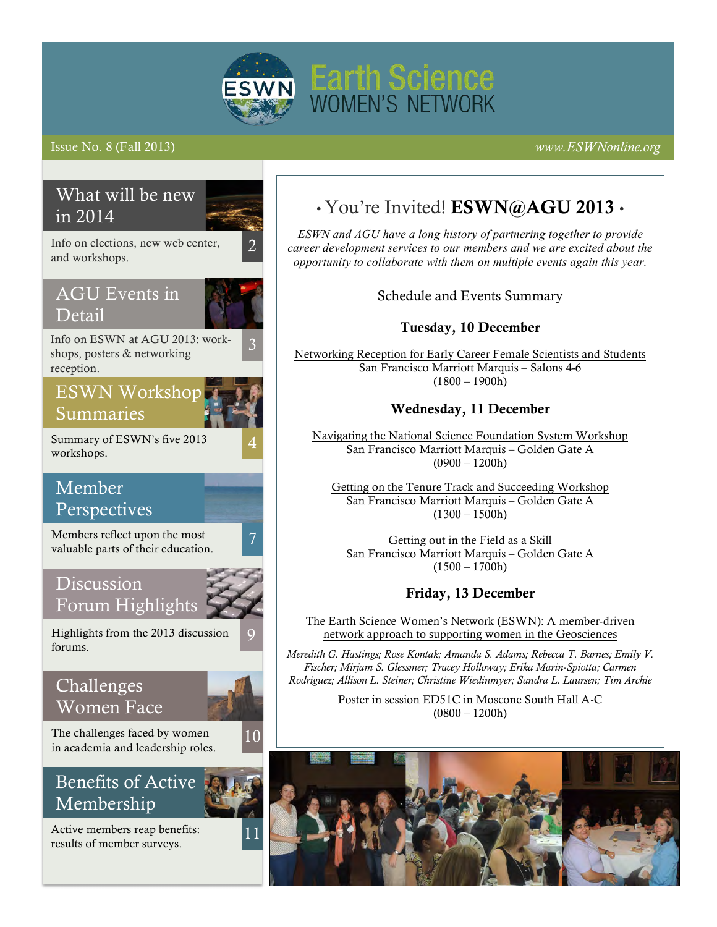

## Issue No. 8 (Fall 2013) *www.ESWNonline.org*



# • You're Invited! ESWN@AGU 2013 •

*ESWN and AGU have a long history of partnering together to provide career development services to our members and we are excited about the opportunity to collaborate with them on multiple events again this year.*

Schedule and Events Summary

## Tuesday, 10 December

[Networking Reception for Early Career Female Scientists and Students](http://fallmeeting.agu.org/2013/events/networking-reception-for-early-career-female-scientists-and-students) San Francisco Marriott Marquis – Salons 4-6  $(1800 - 1900h)$ 

## Wednesday, 11 December

[Navigating the National Science Foundation System Workshop](http://fallmeeting.agu.org/2013/events/navigating-the-nsf-system-workshop/) San Francisco Marriott Marquis – Golden Gate A  $(0900 - 1200h)$ 

[Getting on the Tenure Track and Succeeding Workshop](http://fallmeeting.agu.org/2013/events/getting-on-the-tenure-track-and-succeeding-workshop/) San Francisco Marriott Marquis – Golden Gate A  $(1300 - 1500h)$ 

[Getting out in the Field as a Skill](http://fallmeeting.agu.org/2013/events/getting-out-in-the-field-as-a-skill-workshop/) San Francisco Marriott Marquis – Golden Gate A  $(1500 - 1700h)$ 

## Friday, 13 December

The Earth Science Women's Network (ESWN): A member-driven network approach to supporting women in the Geosciences

*Meredith G. Hastings; Rose Kontak; Amanda S. Adams; Rebecca T. Barnes; Emily V. Fischer; Mirjam S. Glessmer; Tracey Holloway; Erika Marin-Spiotta; Carmen Rodriguez; Allison L. Steiner; Christine Wiedinmyer; Sandra L. Laursen; Tim Archie*

> Poster in session ED51C in Moscone South Hall A-C  $(0800 - 1200h)$

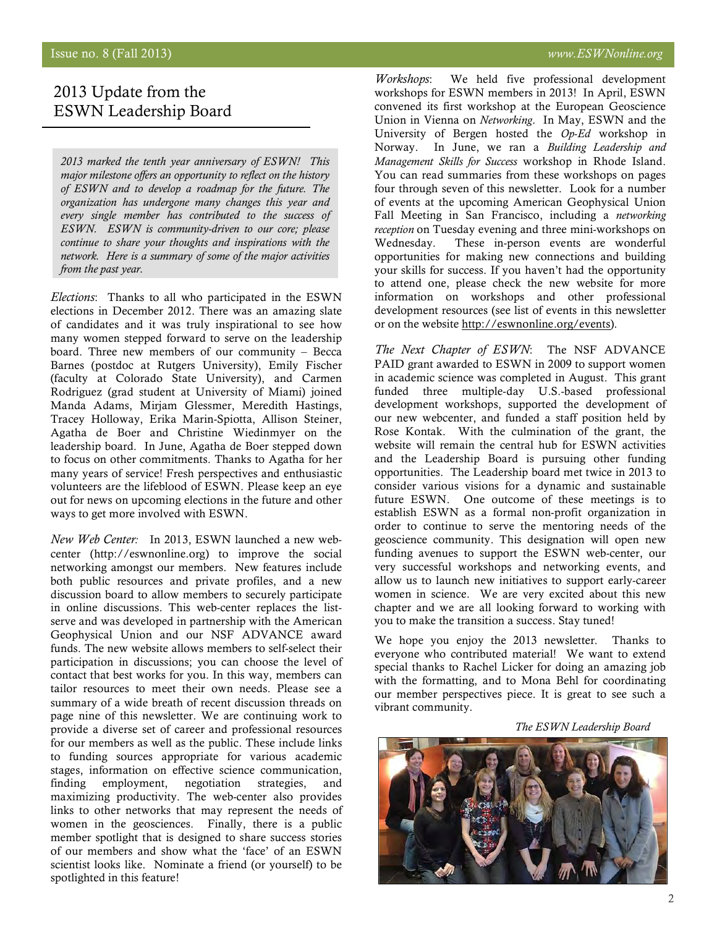## 2013 Update from the ESWN Leadership Board

*2013 marked the tenth year anniversary of ESWN! This major milestone offers an opportunity to reflect on the history of ESWN and to develop a roadmap for the future. The organization has undergone many changes this year and every single member has contributed to the success of ESWN. ESWN is community-driven to our core; please continue to share your thoughts and inspirations with the network. Here is a summary of some of the major activities from the past year.*

*Elections*: Thanks to all who participated in the ESWN elections in December 2012. There was an amazing slate of candidates and it was truly inspirational to see how many women stepped forward to serve on the leadership board. Three new members of our community – Becca Barnes (postdoc at Rutgers University), Emily Fischer (faculty at Colorado State University), and Carmen Rodriguez (grad student at University of Miami) joined Manda Adams, Mirjam Glessmer, Meredith Hastings, Tracey Holloway, Erika Marin-Spiotta, Allison Steiner, Agatha de Boer and Christine Wiedinmyer on the leadership board. In June, Agatha de Boer stepped down to focus on other commitments. Thanks to Agatha for her many years of service! Fresh perspectives and enthusiastic volunteers are the lifeblood of ESWN. Please keep an eye out for news on upcoming elections in the future and other ways to get more involved with ESWN.

*New Web Center:* In 2013, ESWN launched a new webcenter (http://eswnonline.org) to improve the social networking amongst our members. New features include both public resources and private profiles, and a new discussion board to allow members to securely participate in online discussions. This web-center replaces the listserve and was developed in partnership with the American Geophysical Union and our NSF ADVANCE award funds. The new website allows members to self-select their participation in discussions; you can choose the level of contact that best works for you. In this way, members can tailor resources to meet their own needs. Please see a summary of a wide breath of recent discussion threads on page nine of this newsletter. We are continuing work to provide a diverse set of career and professional resources for our members as well as the public. These include links to funding sources appropriate for various academic stages, information on effective science communication, finding employment, negotiation strategies, and maximizing productivity. The web-center also provides links to other networks that may represent the needs of women in the geosciences. Finally, there is a public member spotlight that is designed to share success stories of our members and show what the 'face' of an ESWN scientist looks like. Nominate a friend (or yourself) to be spotlighted in this feature!

*Workshops*: We held five professional development workshops for ESWN members in 2013! In April, ESWN convened its first workshop at the European Geoscience Union in Vienna on *Networking*. In May, ESWN and the University of Bergen hosted the *Op-Ed* workshop in Norway. In June, we ran a *Building Leadership and Management Skills for Success* workshop in Rhode Island. You can read summaries from these workshops on pages four through seven of this newsletter. Look for a number of events at the upcoming American Geophysical Union Fall Meeting in San Francisco, including a *networking reception* on Tuesday evening and three mini-workshops on Wednesday. These in-person events are wonderful opportunities for making new connections and building your skills for success. If you haven't had the opportunity to attend one, please check the new website for more information on workshops and other professional development resources (see list of events in this newsletter or on the website http://eswnonline.org/events).

*The Next Chapter of ESWN*: The NSF ADVANCE PAID grant awarded to ESWN in 2009 to support women in academic science was completed in August. This grant funded three multiple-day U.S.-based professional development workshops, supported the development of our new webcenter, and funded a staff position held by Rose Kontak. With the culmination of the grant, the website will remain the central hub for ESWN activities and the Leadership Board is pursuing other funding opportunities. The Leadership board met twice in 2013 to consider various visions for a dynamic and sustainable future ESWN. One outcome of these meetings is to establish ESWN as a formal non-profit organization in order to continue to serve the mentoring needs of the geoscience community. This designation will open new funding avenues to support the ESWN web-center, our very successful workshops and networking events, and allow us to launch new initiatives to support early-career women in science. We are very excited about this new chapter and we are all looking forward to working with you to make the transition a success. Stay tuned!

We hope you enjoy the 2013 newsletter. Thanks to everyone who contributed material! We want to extend special thanks to Rachel Licker for doing an amazing job with the formatting, and to Mona Behl for coordinating our member perspectives piece. It is great to see such a vibrant community.

 *The ESWN Leadership Board*

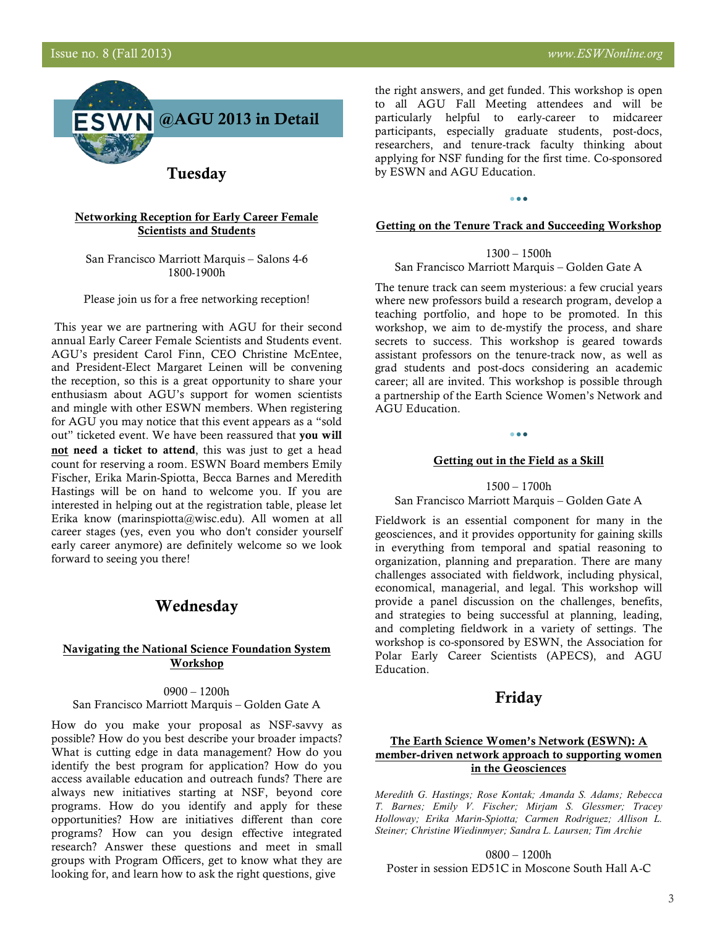

Tuesday

#### [Networking Reception for Early Career Female](http://fallmeeting.agu.org/2013/events/networking-reception-for-early-career-female-scientists-and-students/)  **Scientists and Students**

San Francisco Marriott Marquis – Salons 4-6 1800-1900h

Please join us for a free networking reception!

This year we are partnering with AGU for their second annual Early Career Female Scientists and Students event. AGU's president Carol Finn, CEO Christine McEntee, and President-Elect Margaret Leinen will be convening the reception, so this is a great opportunity to share your enthusiasm about AGU's support for women scientists and mingle with other ESWN members. When registering for AGU you may notice that this event appears as a "sold out" ticketed event. We have been reassured that you will not need a ticket to attend, this was just to get a head count for reserving a room. ESWN Board members Emily Fischer, Erika Marin-Spiotta, Becca Barnes and Meredith Hastings will be on hand to welcome you. If you are interested in helping out at the registration table, please let Erika know (marinspiotta@wisc.edu). All women at all career stages (yes, even you who don't consider yourself early career anymore) are definitely welcome so we look forward to seeing you there!

## Wednesday

### [Navigating the National Science Foundation System](http://fallmeeting.agu.org/2013/events/navigating-the-nsf-system-workshop/)  Workshop

0900 – 1200h San Francisco Marriott Marquis – Golden Gate A

How do you make your proposal as NSF-savvy as possible? How do you best describe your broader impacts? What is cutting edge in data management? How do you identify the best program for application? How do you access available education and outreach funds? There are always new initiatives starting at NSF, beyond core programs. How do you identify and apply for these opportunities? How are initiatives different than core programs? How can you design effective integrated research? Answer these questions and meet in small groups with Program Officers, get to know what they are looking for, and learn how to ask the right questions, give

the right answers, and get funded. This workshop is open to all AGU Fall Meeting attendees and will be particularly helpful to early-career to midcareer participants, especially graduate students, post-docs, researchers, and tenure-track faculty thinking about applying for NSF funding for the first time. Co-sponsored by ESWN and AGU Education.

#### [Getting on the Tenure Track and Succeeding Workshop](http://fallmeeting.agu.org/2013/events/getting-on-the-tenure-track-and-succeeding-workshop/)

 $0.00$ 

#### 1300 – 1500h

San Francisco Marriott Marquis – Golden Gate A

The tenure track can seem mysterious: a few crucial years where new professors build a research program, develop a teaching portfolio, and hope to be promoted. In this workshop, we aim to de-mystify the process, and share secrets to success. This workshop is geared towards assistant professors on the tenure-track now, as well as grad students and post-docs considering an academic career; all are invited. This workshop is possible through a partnership of the Earth Science Women's Network and AGU Education.

#### [Getting out in the Field as a Skill](http://fallmeeting.agu.org/2013/events/getting-out-in-the-field-as-a-skill-workshop/)

 $\bullet\bullet\bullet$ 

1500 – 1700h

San Francisco Marriott Marquis – Golden Gate A

Fieldwork is an essential component for many in the geosciences, and it provides opportunity for gaining skills in everything from temporal and spatial reasoning to organization, planning and preparation. There are many challenges associated with fieldwork, including physical, economical, managerial, and legal. This workshop will provide a panel discussion on the challenges, benefits, and strategies to being successful at planning, leading, and completing fieldwork in a variety of settings. The workshop is co-sponsored by ESWN, the Association for Polar Early Career Scientists (APECS), and AGU Education.

## Friday

### The Earth Science Women's Network (ESWN): A member-driven network approach to supporting women in the Geosciences

*Meredith G. Hastings; Rose Kontak; Amanda S. Adams; Rebecca T. Barnes; Emily V. Fischer; Mirjam S. Glessmer; Tracey Holloway; Erika Marin-Spiotta; Carmen Rodriguez; Allison L. Steiner; Christine Wiedinmyer; Sandra L. Laursen; Tim Archie*

0800 – 1200h Poster in session ED51C in Moscone South Hall A-C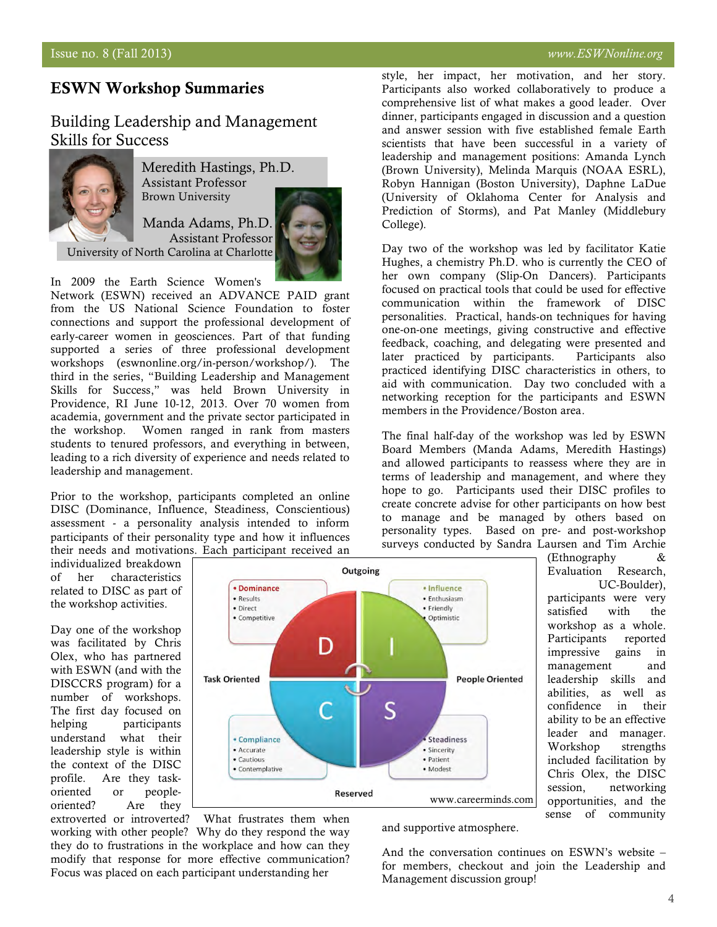## ESWN Workshop Summaries

## Building Leadership and Management Skills for Success

Brown University



Meredith Hastings, Ph.D. Assistant Professor

Manda Adams, Ph.D. Assistant Professor



In 2009 the Earth Science Women's

Network (ESWN) received an ADVANCE PAID grant from the US National Science Foundation to foster connections and support the professional development of early-career women in geosciences. Part of that funding supported a series of three professional development workshops (eswnonline.org/in-person/workshop/). The third in the series, "Building Leadership and Management Skills for Success," was held Brown University in Providence, RI June 10-12, 2013. Over 70 women from academia, government and the private sector participated in the workshop. Women ranged in rank from masters students to tenured professors, and everything in between, leading to a rich diversity of experience and needs related to leadership and management.

Prior to the workshop, participants completed an online DISC (Dominance, Influence, Steadiness, Conscientious) assessment - a personality analysis intended to inform participants of their personality type and how it influences their needs and motivations. Each participant received an style, her impact, her motivation, and her story. Participants also worked collaboratively to produce a comprehensive list of what makes a good leader. Over dinner, participants engaged in discussion and a question and answer session with five established female Earth scientists that have been successful in a variety of leadership and management positions: Amanda Lynch (Brown University), Melinda Marquis (NOAA ESRL), Robyn Hannigan (Boston University), Daphne LaDue (University of Oklahoma Center for Analysis and Prediction of Storms), and Pat Manley (Middlebury College).

Day two of the workshop was led by facilitator Katie Hughes, a chemistry Ph.D. who is currently the CEO of her own company (Slip-On Dancers). Participants focused on practical tools that could be used for effective communication within the framework of DISC personalities. Practical, hands-on techniques for having one-on-one meetings, giving constructive and effective feedback, coaching, and delegating were presented and later practiced by participants. Participants also practiced identifying DISC characteristics in others, to aid with communication. Day two concluded with a networking reception for the participants and ESWN members in the Providence/Boston area.

The final half-day of the workshop was led by ESWN Board Members (Manda Adams, Meredith Hastings) and allowed participants to reassess where they are in terms of leadership and management, and where they hope to go. Participants used their DISC profiles to create concrete advise for other participants on how best to manage and be managed by others based on personality types. Based on pre- and post-workshop surveys conducted by Sandra Laursen and Tim Archie

> (Ethnography & Evaluation Research,

participants were very satisfied with the workshop as a whole. Participants reported impressive gains in management and leadership skills and abilities, as well as confidence in their ability to be an effective leader and manager. Workshop strengths included facilitation by Chris Olex, the DISC session, networking opportunities, and the sense of community

UC-Boulder),

individualized breakdown of her characteristics related to DISC as part of the workshop activities.

Day one of the workshop was facilitated by Chris Olex, who has partnered with ESWN (and with the DISCCRS program) for a number of workshops. The first day focused on helping participants understand what their leadership style is within the context of the DISC profile. Are they taskoriented or peopleoriented? Are they



extroverted or introverted? What frustrates them when working with other people? Why do they respond the way they do to frustrations in the workplace and how can they modify that response for more effective communication? Focus was placed on each participant understanding her

and supportive atmosphere.

And the conversation continues on ESWN's website – for members, checkout and join the Leadership and Management discussion group!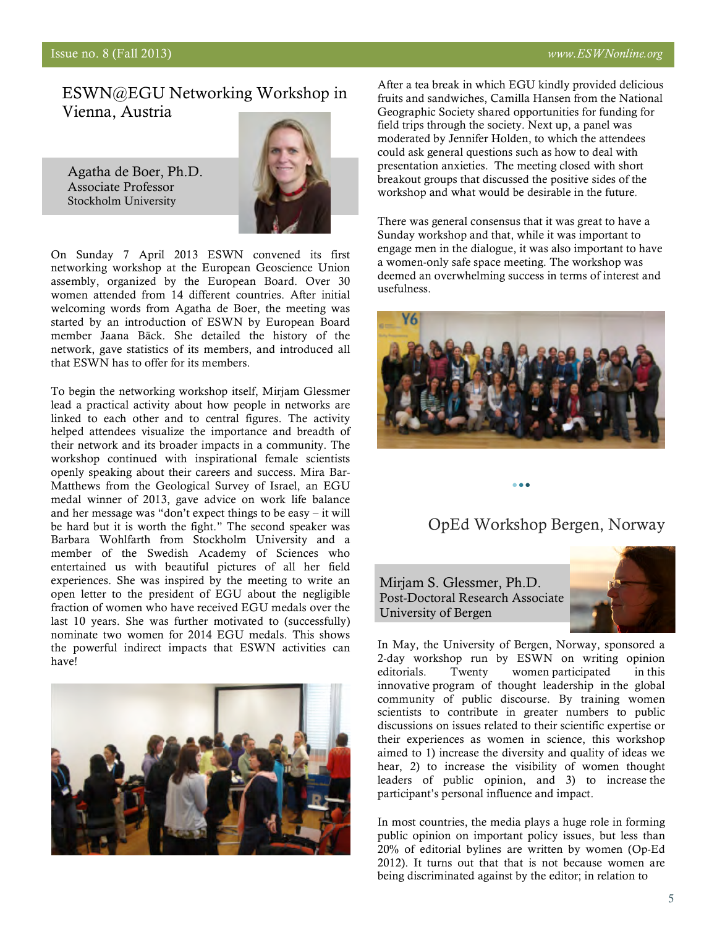## ESWN@EGU Networking Workshop in Vienna, Austria

Agatha de Boer, Ph.D. Associate Professor Stockholm University



On Sunday 7 April 2013 ESWN convened its first networking workshop at the European Geoscience Union assembly, organized by the European Board. Over 30 women attended from 14 different countries. After initial welcoming words from Agatha de Boer, the meeting was started by an introduction of ESWN by European Board member Jaana Bäck. She detailed the history of the network, gave statistics of its members, and introduced all that ESWN has to offer for its members.

To begin the networking workshop itself, Mirjam Glessmer lead a practical activity about how people in networks are linked to each other and to central figures. The activity helped attendees visualize the importance and breadth of their network and its broader impacts in a community. The workshop continued with inspirational female scientists openly speaking about their careers and success. Mira Bar-Matthews from the Geological Survey of Israel, an EGU medal winner of 2013, gave advice on work life balance and her message was "don't expect things to be easy – it will be hard but it is worth the fight." The second speaker was Barbara Wohlfarth from Stockholm University and a member of the Swedish Academy of Sciences who entertained us with beautiful pictures of all her field experiences. She was inspired by the meeting to write an open letter to the president of EGU about the negligible fraction of women who have received EGU medals over the last 10 years. She was further motivated to (successfully) nominate two women for 2014 EGU medals. This shows the powerful indirect impacts that ESWN activities can have!



After a tea break in which EGU kindly provided delicious fruits and sandwiches, Camilla Hansen from the National Geographic Society shared opportunities for funding for field trips through the society. Next up, a panel was moderated by Jennifer Holden, to which the attendees could ask general questions such as how to deal with presentation anxieties. The meeting closed with short breakout groups that discussed the positive sides of the workshop and what would be desirable in the future.

There was general consensus that it was great to have a Sunday workshop and that, while it was important to engage men in the dialogue, it was also important to have a women-only safe space meeting. The workshop was deemed an overwhelming success in terms of interest and usefulness.



## OpEd Workshop Bergen, Norway

Mirjam S. Glessmer, Ph.D. Post-Doctoral Research Associate University of Bergen



In May, the University of Bergen, Norway, sponsored a 2-day workshop run by ESWN on writing opinion editorials. Twenty women participated in this innovative program of thought leadership in the global community of public discourse. By training women scientists to contribute in greater numbers to public discussions on issues related to their scientific expertise or their experiences as women in science, this workshop aimed to 1) increase the diversity and quality of ideas we hear, 2) to increase the visibility of women thought leaders of public opinion, and 3) to increase the participant's personal influence and impact.

In most countries, the media plays a huge role in forming public opinion on important policy issues, but less than 20% of editorial bylines are written by women (Op-Ed 2012). It turns out that that is not because women are being discriminated against by the editor; in relation to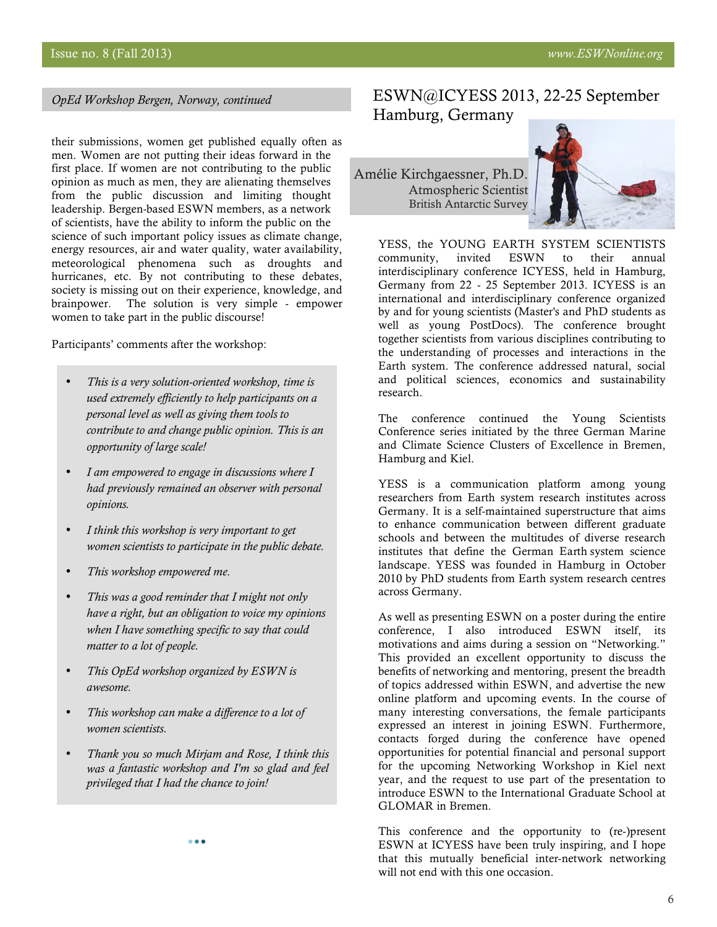*OpEd Workshop Bergen, Norway, continued*

their submissions, women get published equally often as men. Women are not putting their ideas forward in the first place. If women are not contributing to the public opinion as much as men, they are alienating themselves from the public discussion and limiting thought leadership. Bergen-based ESWN members, as a network of scientists, have the ability to inform the public on the science of such important policy issues as climate change, energy resources, air and water quality, water availability, meteorological phenomena such as droughts and hurricanes, etc. By not contributing to these debates, society is missing out on their experience, knowledge, and brainpower. The solution is very simple - empower women to take part in the public discourse!

Participants' comments after the workshop:

- *This is a very solution-oriented workshop, time is used extremely efficiently to help participants on a personal level as well as giving them tools to contribute to and change public opinion. This is an opportunity of large scale!*
- *I am empowered to engage in discussions where I had previously remained an observer with personal opinions.*
- *I think this workshop is very important to get women scientists to participate in the public debate.*
- *This workshop empowered me.*
- *This was a good reminder that I might not only have a right, but an obligation to voice my opinions when I have something specific to say that could matter to a lot of people.*
- *This OpEd workshop organized by ESWN is awesome.*
- *This workshop can make a difference to a lot of women scientists.*
- *Thank you so much Mirjam and Rose, I think this was a fantastic workshop and I'm so glad and feel privileged that I had the chance to join!*

## ESWN@ICYESS 2013, 22-25 September Hamburg, Germany

Amélie Kirchgaessner, Ph.D. Atmospheric Scientist British Antarctic Survey



YESS, the YOUNG EARTH SYSTEM SCIENTISTS community, invited ESWN to their annual interdisciplinary conference ICYESS, held in Hamburg, Germany from 22 - 25 September 2013. ICYESS is an international and interdisciplinary conference organized by and for young scientists (Master's and PhD students as well as young PostDocs). The conference brought together scientists from various disciplines contributing to the understanding of processes and interactions in the Earth system. The conference addressed natural, social and political sciences, economics and sustainability research.

The conference continued the Young Scientists Conference series initiated by the three German Marine and Climate Science Clusters of Excellence in Bremen, Hamburg and Kiel.

YESS is a communication platform among young researchers from Earth system research institutes across Germany. It is a self-maintained superstructure that aims to enhance communication between different graduate schools and between the multitudes of diverse research institutes that define the German Earth system science landscape. YESS was founded in Hamburg in October 2010 by PhD students from Earth system research centres across Germany.

As well as presenting ESWN on a poster during the entire conference, I also introduced ESWN itself, its motivations and aims during a session on "Networking." This provided an excellent opportunity to discuss the benefits of networking and mentoring, present the breadth of topics addressed within ESWN, and advertise the new online platform and upcoming events. In the course of many interesting conversations, the female participants expressed an interest in joining ESWN. Furthermore, contacts forged during the conference have opened opportunities for potential financial and personal support for the upcoming Networking Workshop in Kiel next year, and the request to use part of the presentation to introduce ESWN to the International Graduate School at GLOMAR in Bremen.

This conference and the opportunity to (re-)present ESWN at ICYESS have been truly inspiring, and I hope that this mutually beneficial inter-network networking will not end with this one occasion.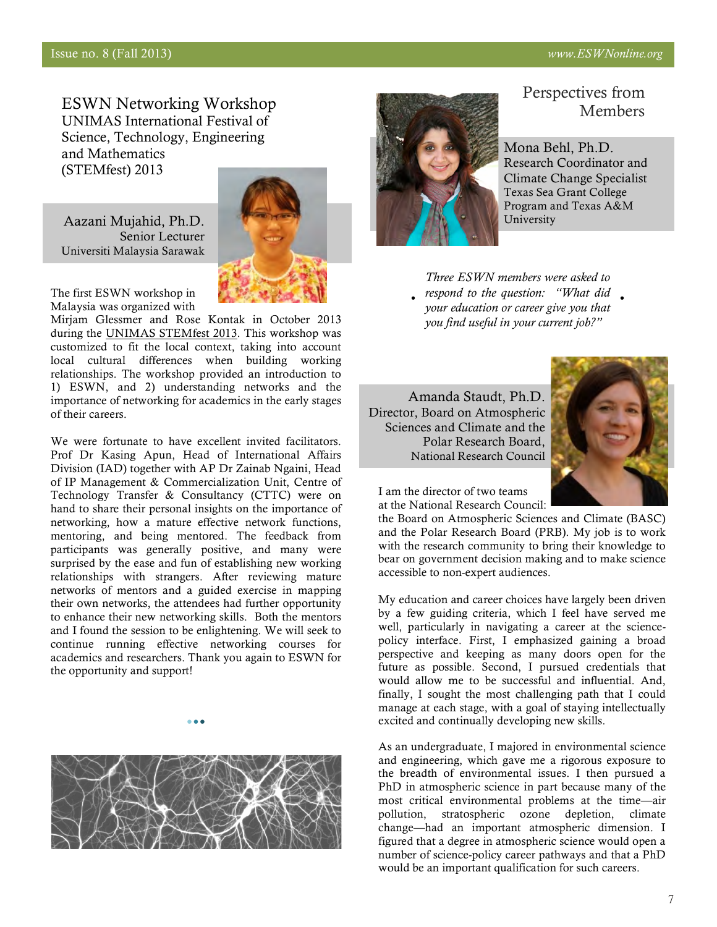ESWN Networking Workshop UNIMAS International Festival of Science, Technology, Engineering and Mathematics (STEMfest) 2013

Aazani Mujahid, Ph.D. Senior Lecturer Universiti Malaysia Sarawak



The first ESWN workshop in Malaysia was organized with

Mirjam Glessmer and Rose Kontak in October 2013 during the [UNIMAS STEMfest 2013.](http://stemstates.org/stemfest-malaysia-2013.html) This workshop was customized to fit the local context, taking into account local cultural differences when building working relationships. The workshop provided an introduction to 1) ESWN, and 2) understanding networks and the importance of networking for academics in the early stages of their careers.

We were fortunate to have excellent invited facilitators. Prof Dr Kasing Apun, Head of International Affairs Division (IAD) together with AP Dr Zainab Ngaini, Head of IP Management & Commercialization Unit, Centre of Technology Transfer & Consultancy (CTTC) were on hand to share their personal insights on the importance of networking, how a mature effective network functions, mentoring, and being mentored. The feedback from participants was generally positive, and many were surprised by the ease and fun of establishing new working relationships with strangers. After reviewing mature networks of mentors and a guided exercise in mapping their own networks, the attendees had further opportunity to enhance their new networking skills. Both the mentors and I found the session to be enlightening. We will seek to continue running effective networking courses for academics and researchers. Thank you again to ESWN for the opportunity and support!



 $\bullet$   $\bullet$ 



## Perspectives from Members

Mona Behl, Ph.D. Research Coordinator and Climate Change Specialist Texas Sea Grant College Program and Texas A&M University

*Three ESWN members were asked to respond to the question: "What did your education or career give you that you find useful in your current job?"* 

Amanda Staudt, Ph.D. Director, Board on Atmospheric Sciences and Climate and the Polar Research Board, National Research Council



I am the director of two teams at the National Research Council:

the Board on Atmospheric Sciences and Climate (BASC) and the Polar Research Board (PRB). My job is to work with the research community to bring their knowledge to bear on government decision making and to make science accessible to non-expert audiences.

My education and career choices have largely been driven by a few guiding criteria, which I feel have served me well, particularly in navigating a career at the sciencepolicy interface. First, I emphasized gaining a broad perspective and keeping as many doors open for the future as possible. Second, I pursued credentials that would allow me to be successful and influential. And, finally, I sought the most challenging path that I could manage at each stage, with a goal of staying intellectually excited and continually developing new skills.

As an undergraduate, I majored in environmental science and engineering, which gave me a rigorous exposure to the breadth of environmental issues. I then pursued a PhD in atmospheric science in part because many of the most critical environmental problems at the time—air pollution, stratospheric ozone depletion, climate change—had an important atmospheric dimension. I figured that a degree in atmospheric science would open a number of science-policy career pathways and that a PhD would be an important qualification for such careers.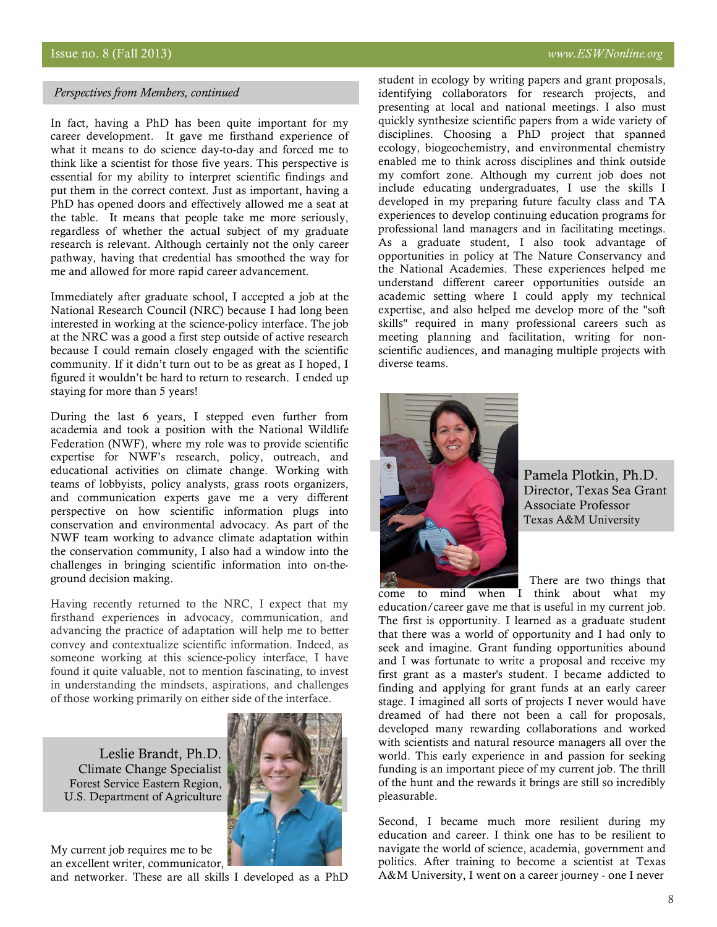#### *Perspectives from Members, continued*

In fact, having a PhD has been quite important for my career development. It gave me firsthand experience of what it means to do science day-to-day and forced me to think like a scientist for those five years. This perspective is essential for my ability to interpret scientific findings and put them in the correct context. Just as important, having a PhD has opened doors and effectively allowed me a seat at the table. It means that people take me more seriously, regardless of whether the actual subject of my graduate research is relevant. Although certainly not the only career pathway, having that credential has smoothed the way for me and allowed for more rapid career advancement.

Immediately after graduate school, I accepted a job at the National Research Council (NRC) because I had long been interested in working at the science-policy interface. The job at the NRC was a good a first step outside of active research because I could remain closely engaged with the scientific community. If it didn't turn out to be as great as I hoped, I figured it wouldn't be hard to return to research. I ended up staying for more than 5 years!

During the last 6 years, I stepped even further from academia and took a position with the National Wildlife Federation (NWF), where my role was to provide scientific expertise for NWF's research, policy, outreach, and educational activities on climate change. Working with teams of lobbyists, policy analysts, grass roots organizers, and communication experts gave me a very different perspective on how scientific information plugs into conservation and environmental advocacy. As part of the NWF team working to advance climate adaptation within the conservation community, I also had a window into the challenges in bringing scientific information into on-theground decision making.

Having recently returned to the NRC, I expect that my firsthand experiences in advocacy, communication, and advancing the practice of adaptation will help me to better convey and contextualize scientific information. Indeed, as someone working at this science-policy interface, I have found it quite valuable, not to mention fascinating, to invest in understanding the mindsets, aspirations, and challenges of those working primarily on either side of the interface.

Leslie Brandt, Ph.D. Climate Change Specialist Forest Service Eastern Region, U.S. Department of Agriculture



My current job requires me to be an excellent writer, communicator,

and networker. These are all skills I developed as a PhD

student in ecology by writing papers and grant proposals, identifying collaborators for research projects, and presenting at local and national meetings. I also must quickly synthesize scientific papers from a wide variety of disciplines. Choosing a PhD project that spanned ecology, biogeochemistry, and environmental chemistry enabled me to think across disciplines and think outside my comfort zone. Although my current job does not include educating undergraduates, I use the skills I developed in my preparing future faculty class and TA experiences to develop continuing education programs for professional land managers and in facilitating meetings. As a graduate student, I also took advantage of opportunities in policy at The Nature Conservancy and the National Academies. These experiences helped me understand different career opportunities outside an academic setting where I could apply my technical expertise, and also helped me develop more of the "soft skills" required in many professional careers such as meeting planning and facilitation, writing for nonscientific audiences, and managing multiple projects with diverse teams.



Pamela Plotkin, Ph.D. Director, Texas Sea Grant Associate Professor Texas A&M University

There are two things that

come to mind when I think about what my education/career gave me that is useful in my current job. The first is opportunity. I learned as a graduate student that there was a world of opportunity and I had only to seek and imagine. Grant funding opportunities abound and I was fortunate to write a proposal and receive my first grant as a master's student. I became addicted to finding and applying for grant funds at an early career stage. I imagined all sorts of projects I never would have dreamed of had there not been a call for proposals, developed many rewarding collaborations and worked with scientists and natural resource managers all over the world. This early experience in and passion for seeking funding is an important piece of my current job. The thrill of the hunt and the rewards it brings are still so incredibly pleasurable.

Second, I became much more resilient during my education and career. I think one has to be resilient to navigate the world of science, academia, government and politics. After training to become a scientist at Texas A&M University, I went on a career journey - one I never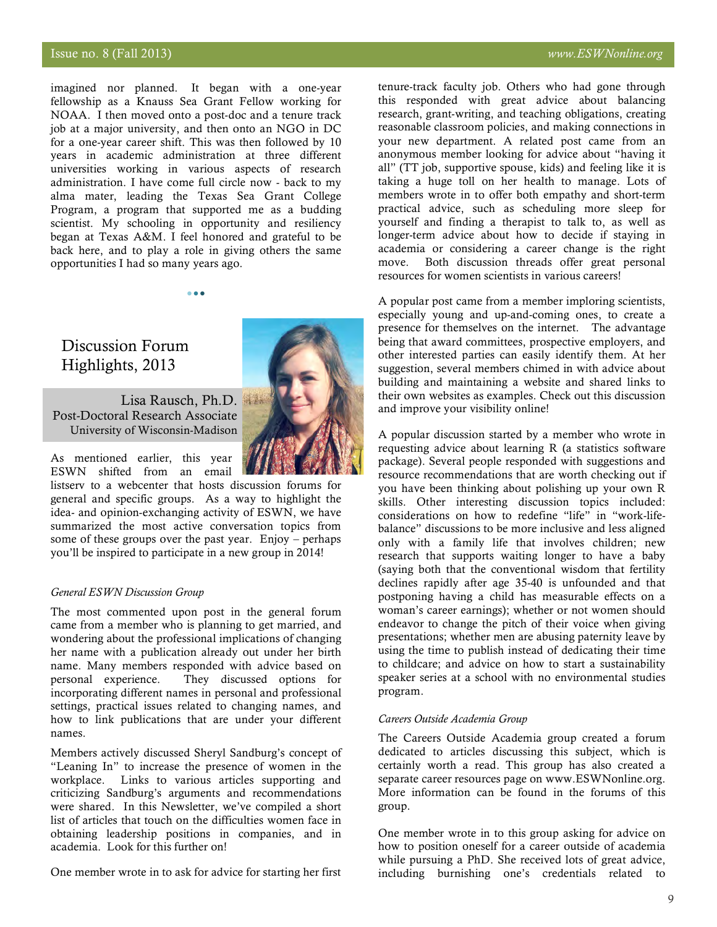## Issue no. 8 (Fall 2013) *www.ESWNonline.org*

imagined nor planned. It began with a one-year fellowship as a Knauss Sea Grant Fellow working for NOAA. I then moved onto a post-doc and a tenure track job at a major university, and then onto an NGO in DC for a one-year career shift. This was then followed by 10 years in academic administration at three different universities working in various aspects of research administration. I have come full circle now - back to my alma mater, leading the Texas Sea Grant College Program, a program that supported me as a budding scientist. My schooling in opportunity and resiliency began at Texas A&M. I feel honored and grateful to be back here, and to play a role in giving others the same opportunities I had so many years ago.

 $\bullet$   $\bullet$ 

## Discussion Forum Highlights, 2013

Lisa Rausch, Ph.D. Post-Doctoral Research Associate University of Wisconsin-Madison

As mentioned earlier, this year

ESWN shifted from an email listserv to a webcenter that hosts discussion forums for general and specific groups. As a way to highlight the idea- and opinion-exchanging activity of ESWN, we have summarized the most active conversation topics from some of these groups over the past year. Enjoy – perhaps you'll be inspired to participate in a new group in 2014!

#### *General ESWN Discussion Group*

The most commented upon post in the general forum came from a member who is planning to get married, and wondering about the professional implications of changing her name with a publication already out under her birth name. Many members responded with advice based on personal experience. They discussed options for incorporating different names in personal and professional settings, practical issues related to changing names, and how to link publications that are under your different names.

Members actively discussed Sheryl Sandburg's concept of "Leaning In" to increase the presence of women in the workplace. Links to various articles supporting and criticizing Sandburg's arguments and recommendations were shared. In this Newsletter, we've compiled a short list of articles that touch on the difficulties women face in obtaining leadership positions in companies, and in academia. Look for this further on!

One member wrote in to ask for advice for starting her first

tenure-track faculty job. Others who had gone through this responded with great advice about balancing research, grant-writing, and teaching obligations, creating reasonable classroom policies, and making connections in your new department. A related post came from an anonymous member looking for advice about "having it all" (TT job, supportive spouse, kids) and feeling like it is taking a huge toll on her health to manage. Lots of members wrote in to offer both empathy and short-term practical advice, such as scheduling more sleep for yourself and finding a therapist to talk to, as well as longer-term advice about how to decide if staying in academia or considering a career change is the right move. Both discussion threads offer great personal resources for women scientists in various careers!

A popular post came from a member imploring scientists, especially young and up-and-coming ones, to create a presence for themselves on the internet. The advantage being that award committees, prospective employers, and other interested parties can easily identify them. At her suggestion, several members chimed in with advice about building and maintaining a website and shared links to their own websites as examples. Check out this discussion and improve your visibility online!

A popular discussion started by a member who wrote in requesting advice about learning R (a statistics software package). Several people responded with suggestions and resource recommendations that are worth checking out if you have been thinking about polishing up your own R skills. Other interesting discussion topics included: considerations on how to redefine "life" in "work-lifebalance" discussions to be more inclusive and less aligned only with a family life that involves children; new research that supports waiting longer to have a baby (saying both that the conventional wisdom that fertility declines rapidly after age 35-40 is unfounded and that postponing having a child has measurable effects on a woman's career earnings); whether or not women should endeavor to change the pitch of their voice when giving presentations; whether men are abusing paternity leave by using the time to publish instead of dedicating their time to childcare; and advice on how to start a sustainability speaker series at a school with no environmental studies program.

### *Careers Outside Academia Group*

The Careers Outside Academia group created a forum dedicated to articles discussing this subject, which is certainly worth a read. This group has also created a separate career resources page on www.ESWNonline.org. More information can be found in the forums of this group.

One member wrote in to this group asking for advice on how to position oneself for a career outside of academia while pursuing a PhD. She received lots of great advice, including burnishing one's credentials related to

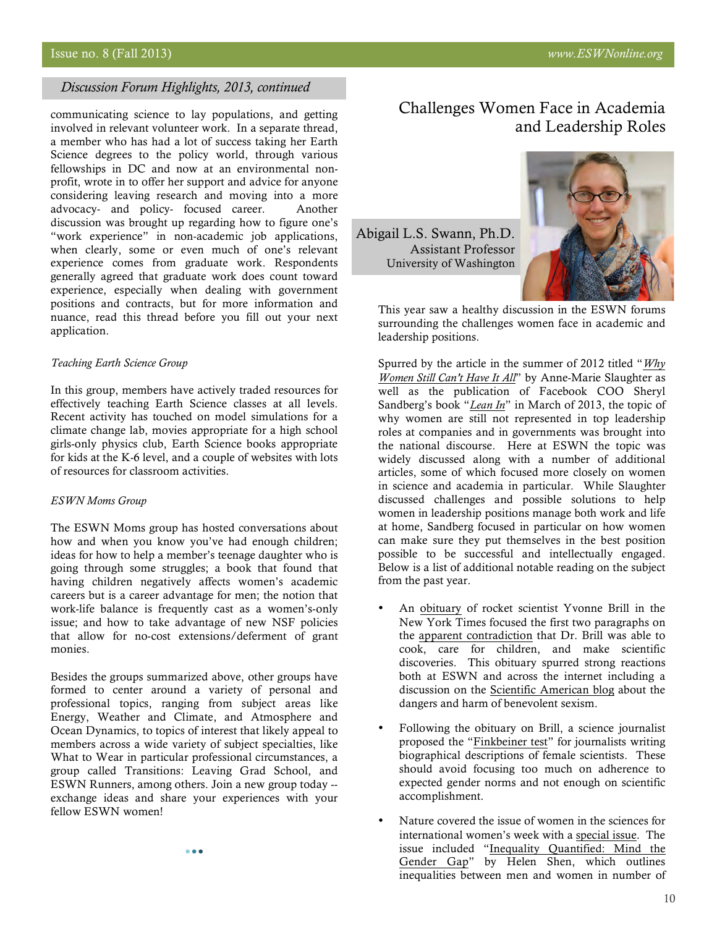## *Discussion Forum Highlights, 2013, continued*

communicating science to lay populations, and getting involved in relevant volunteer work. In a separate thread, a member who has had a lot of success taking her Earth Science degrees to the policy world, through various fellowships in DC and now at an environmental nonprofit, wrote in to offer her support and advice for anyone considering leaving research and moving into a more advocacy- and policy- focused career. Another discussion was brought up regarding how to figure one's "work experience" in non-academic job applications, when clearly, some or even much of one's relevant experience comes from graduate work. Respondents generally agreed that graduate work does count toward experience, especially when dealing with government positions and contracts, but for more information and nuance, read this thread before you fill out your next application.

#### *Teaching Earth Science Group*

In this group, members have actively traded resources for effectively teaching Earth Science classes at all levels. Recent activity has touched on model simulations for a climate change lab, movies appropriate for a high school girls-only physics club, Earth Science books appropriate for kids at the K-6 level, and a couple of websites with lots of resources for classroom activities.

### *ESWN Moms Group*

The ESWN Moms group has hosted conversations about how and when you know you've had enough children; ideas for how to help a member's teenage daughter who is going through some struggles; a book that found that having children negatively affects women's academic careers but is a career advantage for men; the notion that work-life balance is frequently cast as a women's-only issue; and how to take advantage of new NSF policies that allow for no-cost extensions/deferment of grant monies.

Besides the groups summarized above, other groups have formed to center around a variety of personal and professional topics, ranging from subject areas like Energy, Weather and Climate, and Atmosphere and Ocean Dynamics, to topics of interest that likely appeal to members across a wide variety of subject specialties, like What to Wear in particular professional circumstances, a group called Transitions: Leaving Grad School, and ESWN Runners, among others. Join a new group today - exchange ideas and share your experiences with your fellow ESWN women!

 $\bullet$   $\bullet$ 

Challenges Women Face in Academia and Leadership Roles

Abigail L.S. Swann, Ph.D. Assistant Professor University of Washington



This year saw a healthy discussion in the ESWN forums surrounding the challenges women face in academic and leadership positions.

Spurred by the article in the summer of 2012 titled "*[Why](http://http://www.theatlantic.com/magazine/archive/2012/07/why-women-still-cant-have-it-all/309020/)  [Women Still Can't Have It All](http://http://www.theatlantic.com/magazine/archive/2012/07/why-women-still-cant-have-it-all/309020/)*" by Anne-Marie Slaughter as well as the publication of Facebook COO Sheryl Sandberg's book "*[Lean In](http://leanin.org/book/)*" in March of 2013, the topic of why women are still not represented in top leadership roles at companies and in governments was brought into the national discourse. Here at ESWN the topic was widely discussed along with a number of additional articles, some of which focused more closely on women in science and academia in particular. While Slaughter discussed challenges and possible solutions to help women in leadership positions manage both work and life at home, Sandberg focused in particular on how women can make sure they put themselves in the best position possible to be successful and intellectually engaged. Below is a list of additional notable reading on the subject from the past year.

- An [obituary](http://www.nytimes.com/2013/03/31/science/space/yvonne-brill-rocket-scientist-dies-at-88.html) of rocket scientist Yvonne Brill in the New York Times focused the first two paragraphs on the [apparent contradiction](http://publiceditor.blogs.nytimes.com/2013/04/01/gender-questions-arise-in-obituary-of-rocket-scientist-and-her-beef-stroganoff/?_r=0) that Dr. Brill was able to cook, care for children, and make scientific discoveries. This obituary spurred strong reactions both at ESWN and across the internet including a discussion on the [Scientific American blog](http://blogs.scientificamerican.com/psysociety/2013/04/02/benevolent-sexism/) about the dangers and harm of benevolent sexism.
- Following the obituary on Brill, a science journalist proposed the "[Finkbeiner test](http://www.cjr.org/the_observatory/finkbeiner_test_gender_gap_fem.php)" for journalists writing biographical descriptions of female scientists. These should avoid focusing too much on adherence to expected gender norms and not enough on scientific accomplishment.
- Nature covered the issue of women in the sciences for international women's week with a [special issue.](http://www.nature.com/news/women-in-science-women-s-work-1.12547) The issue included "[Inequality Quantified: Mind the](http://www.nature.com/news/inequality-quantified-mind-the-gender-gap-1.12550) [Gender Gap](http://www.nature.com/news/inequality-quantified-mind-the-gender-gap-1.12550)" by Helen Shen, which outlines inequalities between men and women in number of